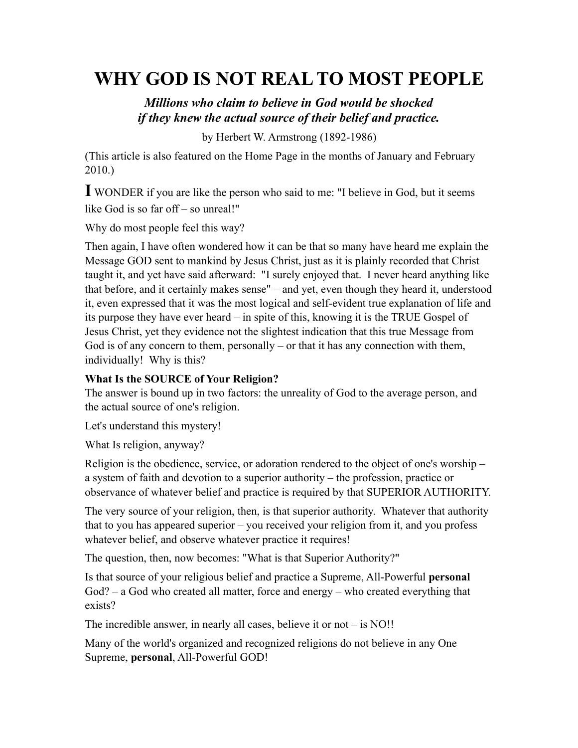# **WHY GOD IS NOT REAL TO MOST PEOPLE**

# *Millions who claim to believe in God would be shocked if they knew the actual source of their belief and practice.*

by Herbert W. Armstrong (1892-1986)

(This article is also featured on the Home Page in the months of January and February 2010.)

**I** WONDER if you are like the person who said to me: "I believe in God, but it seems like God is so far off – so unreal!"

Why do most people feel this way?

Then again, I have often wondered how it can be that so many have heard me explain the Message GOD sent to mankind by Jesus Christ, just as it is plainly recorded that Christ taught it, and yet have said afterward: "I surely enjoyed that. I never heard anything like that before, and it certainly makes sense" – and yet, even though they heard it, understood it, even expressed that it was the most logical and self-evident true explanation of life and its purpose they have ever heard – in spite of this, knowing it is the TRUE Gospel of Jesus Christ, yet they evidence not the slightest indication that this true Message from God is of any concern to them, personally – or that it has any connection with them, individually! Why is this?

#### **What Is the SOURCE of Your Religion?**

The answer is bound up in two factors: the unreality of God to the average person, and the actual source of one's religion.

Let's understand this mystery!

What Is religion, anyway?

Religion is the obedience, service, or adoration rendered to the object of one's worship – a system of faith and devotion to a superior authority – the profession, practice or observance of whatever belief and practice is required by that SUPERIOR AUTHORITY.

The very source of your religion, then, is that superior authority. Whatever that authority that to you has appeared superior – you received your religion from it, and you profess whatever belief, and observe whatever practice it requires!

The question, then, now becomes: "What is that Superior Authority?"

Is that source of your religious belief and practice a Supreme, All-Powerful **personal**  God? – a God who created all matter, force and energy – who created everything that exists?

The incredible answer, in nearly all cases, believe it or not – is NO!!

Many of the world's organized and recognized religions do not believe in any One Supreme, **personal**, All-Powerful GOD!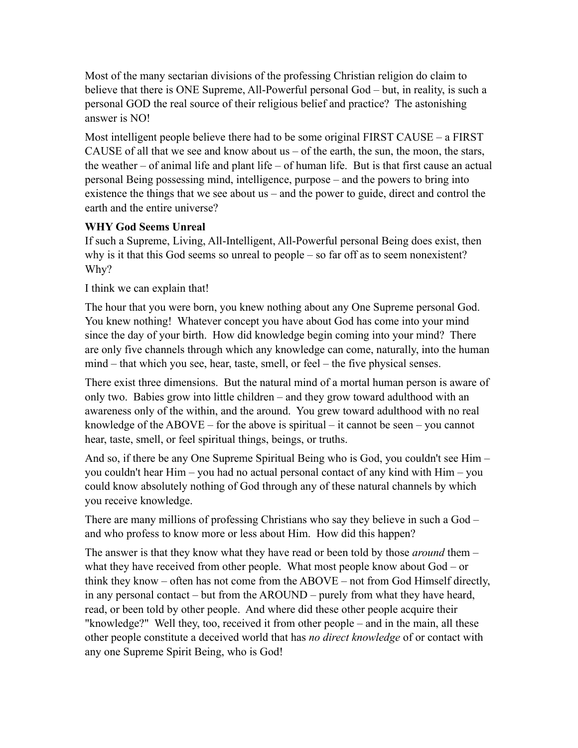Most of the many sectarian divisions of the professing Christian religion do claim to believe that there is ONE Supreme, All-Powerful personal God – but, in reality, is such a personal GOD the real source of their religious belief and practice? The astonishing answer is NO!

Most intelligent people believe there had to be some original FIRST CAUSE – a FIRST CAUSE of all that we see and know about us  $-$  of the earth, the sun, the moon, the stars, the weather – of animal life and plant life – of human life. But is that first cause an actual personal Being possessing mind, intelligence, purpose – and the powers to bring into existence the things that we see about us – and the power to guide, direct and control the earth and the entire universe?

#### **WHY God Seems Unreal**

If such a Supreme, Living, All-Intelligent, All-Powerful personal Being does exist, then why is it that this God seems so unreal to people – so far off as to seem nonexistent? Why?

I think we can explain that!

The hour that you were born, you knew nothing about any One Supreme personal God. You knew nothing! Whatever concept you have about God has come into your mind since the day of your birth. How did knowledge begin coming into your mind? There are only five channels through which any knowledge can come, naturally, into the human mind – that which you see, hear, taste, smell, or feel – the five physical senses.

There exist three dimensions. But the natural mind of a mortal human person is aware of only two. Babies grow into little children – and they grow toward adulthood with an awareness only of the within, and the around. You grew toward adulthood with no real knowledge of the ABOVE – for the above is spiritual – it cannot be seen – you cannot hear, taste, smell, or feel spiritual things, beings, or truths.

And so, if there be any One Supreme Spiritual Being who is God, you couldn't see Him – you couldn't hear Him – you had no actual personal contact of any kind with Him – you could know absolutely nothing of God through any of these natural channels by which you receive knowledge.

There are many millions of professing Christians who say they believe in such a God – and who profess to know more or less about Him. How did this happen?

The answer is that they know what they have read or been told by those *around* them – what they have received from other people. What most people know about God – or think they know – often has not come from the ABOVE – not from God Himself directly, in any personal contact – but from the AROUND – purely from what they have heard, read, or been told by other people. And where did these other people acquire their "knowledge?" Well they, too, received it from other people – and in the main, all these other people constitute a deceived world that has *no direct knowledge* of or contact with any one Supreme Spirit Being, who is God!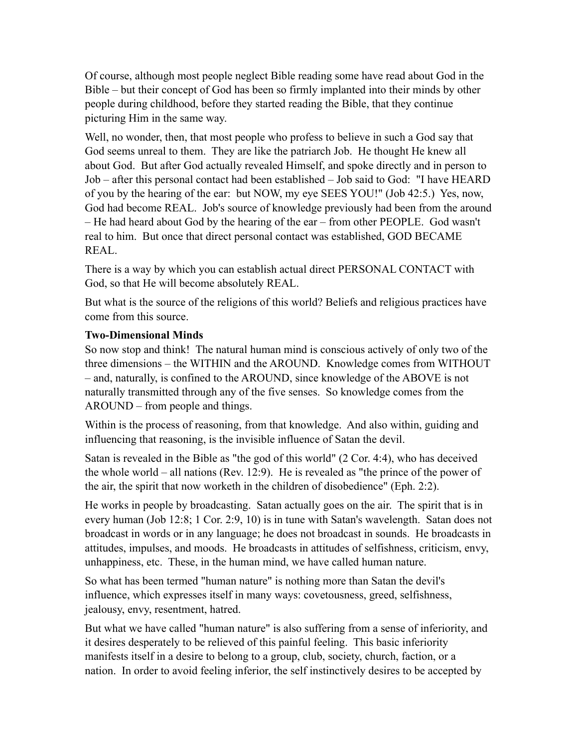Of course, although most people neglect Bible reading some have read about God in the Bible – but their concept of God has been so firmly implanted into their minds by other people during childhood, before they started reading the Bible, that they continue picturing Him in the same way.

Well, no wonder, then, that most people who profess to believe in such a God say that God seems unreal to them. They are like the patriarch Job. He thought He knew all about God. But after God actually revealed Himself, and spoke directly and in person to Job – after this personal contact had been established – Job said to God: "I have HEARD of you by the hearing of the ear: but NOW, my eye SEES YOU!" (Job 42:5.) Yes, now, God had become REAL. Job's source of knowledge previously had been from the around – He had heard about God by the hearing of the ear – from other PEOPLE. God wasn't real to him. But once that direct personal contact was established, GOD BECAME REAL.

There is a way by which you can establish actual direct PERSONAL CONTACT with God, so that He will become absolutely REAL.

But what is the source of the religions of this world? Beliefs and religious practices have come from this source.

#### **Two-Dimensional Minds**

So now stop and think! The natural human mind is conscious actively of only two of the three dimensions – the WITHIN and the AROUND. Knowledge comes from WITHOUT – and, naturally, is confined to the AROUND, since knowledge of the ABOVE is not naturally transmitted through any of the five senses. So knowledge comes from the AROUND – from people and things.

Within is the process of reasoning, from that knowledge. And also within, guiding and influencing that reasoning, is the invisible influence of Satan the devil.

Satan is revealed in the Bible as "the god of this world" (2 Cor. 4:4), who has deceived the whole world – all nations (Rev. 12:9). He is revealed as "the prince of the power of the air, the spirit that now worketh in the children of disobedience" (Eph. 2:2).

He works in people by broadcasting. Satan actually goes on the air. The spirit that is in every human (Job 12:8; 1 Cor. 2:9, 10) is in tune with Satan's wavelength. Satan does not broadcast in words or in any language; he does not broadcast in sounds. He broadcasts in attitudes, impulses, and moods. He broadcasts in attitudes of selfishness, criticism, envy, unhappiness, etc. These, in the human mind, we have called human nature.

So what has been termed "human nature" is nothing more than Satan the devil's influence, which expresses itself in many ways: covetousness, greed, selfishness, jealousy, envy, resentment, hatred.

But what we have called "human nature" is also suffering from a sense of inferiority, and it desires desperately to be relieved of this painful feeling. This basic inferiority manifests itself in a desire to belong to a group, club, society, church, faction, or a nation. In order to avoid feeling inferior, the self instinctively desires to be accepted by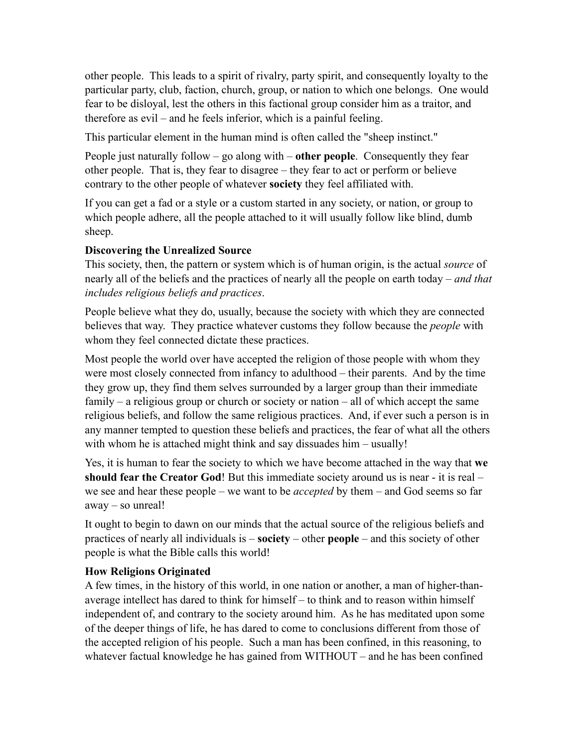other people. This leads to a spirit of rivalry, party spirit, and consequently loyalty to the particular party, club, faction, church, group, or nation to which one belongs. One would fear to be disloyal, lest the others in this factional group consider him as a traitor, and therefore as evil – and he feels inferior, which is a painful feeling.

This particular element in the human mind is often called the "sheep instinct."

People just naturally follow – go along with – **other people**. Consequently they fear other people. That is, they fear to disagree – they fear to act or perform or believe contrary to the other people of whatever **society** they feel affiliated with.

If you can get a fad or a style or a custom started in any society, or nation, or group to which people adhere, all the people attached to it will usually follow like blind, dumb sheep.

#### **Discovering the Unrealized Source**

This society, then, the pattern or system which is of human origin, is the actual *source* of nearly all of the beliefs and the practices of nearly all the people on earth today – *and that includes religious beliefs and practices*.

People believe what they do, usually, because the society with which they are connected believes that way. They practice whatever customs they follow because the *people* with whom they feel connected dictate these practices.

Most people the world over have accepted the religion of those people with whom they were most closely connected from infancy to adulthood – their parents. And by the time they grow up, they find them selves surrounded by a larger group than their immediate family – a religious group or church or society or nation – all of which accept the same religious beliefs, and follow the same religious practices. And, if ever such a person is in any manner tempted to question these beliefs and practices, the fear of what all the others with whom he is attached might think and say dissuades him – usually!

Yes, it is human to fear the society to which we have become attached in the way that **we should fear the Creator God**! But this immediate society around us is near - it is real – we see and hear these people – we want to be *accepted* by them – and God seems so far away – so unreal!

It ought to begin to dawn on our minds that the actual source of the religious beliefs and practices of nearly all individuals is – **society** – other **people** – and this society of other people is what the Bible calls this world!

## **How Religions Originated**

A few times, in the history of this world, in one nation or another, a man of higher-thanaverage intellect has dared to think for himself – to think and to reason within himself independent of, and contrary to the society around him. As he has meditated upon some of the deeper things of life, he has dared to come to conclusions different from those of the accepted religion of his people. Such a man has been confined, in this reasoning, to whatever factual knowledge he has gained from WITHOUT – and he has been confined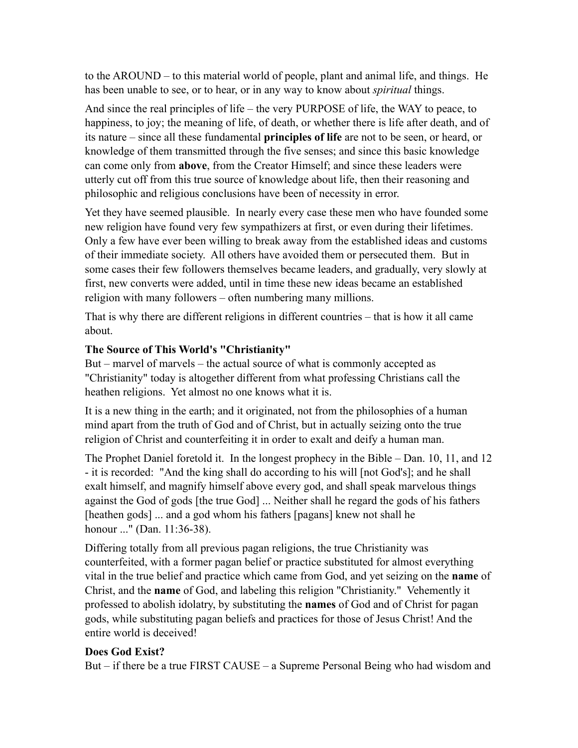to the AROUND – to this material world of people, plant and animal life, and things. He has been unable to see, or to hear, or in any way to know about *spiritual* things.

And since the real principles of life – the very PURPOSE of life, the WAY to peace, to happiness, to joy; the meaning of life, of death, or whether there is life after death, and of its nature – since all these fundamental **principles of life** are not to be seen, or heard, or knowledge of them transmitted through the five senses; and since this basic knowledge can come only from **above**, from the Creator Himself; and since these leaders were utterly cut off from this true source of knowledge about life, then their reasoning and philosophic and religious conclusions have been of necessity in error.

Yet they have seemed plausible. In nearly every case these men who have founded some new religion have found very few sympathizers at first, or even during their lifetimes. Only a few have ever been willing to break away from the established ideas and customs of their immediate society. All others have avoided them or persecuted them. But in some cases their few followers themselves became leaders, and gradually, very slowly at first, new converts were added, until in time these new ideas became an established religion with many followers – often numbering many millions.

That is why there are different religions in different countries – that is how it all came about.

#### **The Source of This World's "Christianity"**

But – marvel of marvels – the actual source of what is commonly accepted as "Christianity" today is altogether different from what professing Christians call the heathen religions. Yet almost no one knows what it is.

It is a new thing in the earth; and it originated, not from the philosophies of a human mind apart from the truth of God and of Christ, but in actually seizing onto the true religion of Christ and counterfeiting it in order to exalt and deify a human man.

The Prophet Daniel foretold it. In the longest prophecy in the Bible – Dan. 10, 11, and 12 - it is recorded: "And the king shall do according to his will [not God's]; and he shall exalt himself, and magnify himself above every god, and shall speak marvelous things against the God of gods [the true God] ... Neither shall he regard the gods of his fathers [heathen gods] ... and a god whom his fathers [pagans] knew not shall he honour ..." (Dan. 11:36-38).

Differing totally from all previous pagan religions, the true Christianity was counterfeited, with a former pagan belief or practice substituted for almost everything vital in the true belief and practice which came from God, and yet seizing on the **name** of Christ, and the **name** of God, and labeling this religion "Christianity." Vehemently it professed to abolish idolatry, by substituting the **names** of God and of Christ for pagan gods, while substituting pagan beliefs and practices for those of Jesus Christ! And the entire world is deceived!

#### **Does God Exist?**

But – if there be a true FIRST CAUSE – a Supreme Personal Being who had wisdom and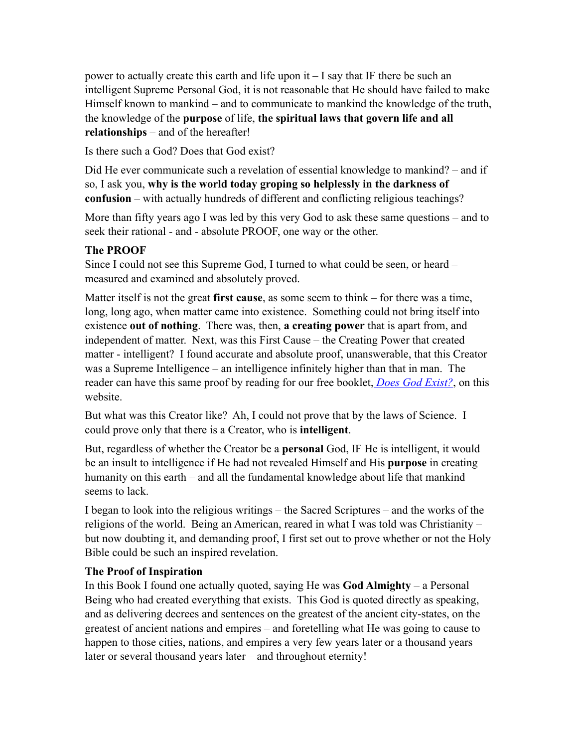power to actually create this earth and life upon it – I say that IF there be such an intelligent Supreme Personal God, it is not reasonable that He should have failed to make Himself known to mankind – and to communicate to mankind the knowledge of the truth, the knowledge of the **purpose** of life, **the spiritual laws that govern life and all relationships** – and of the hereafter!

Is there such a God? Does that God exist?

Did He ever communicate such a revelation of essential knowledge to mankind? – and if so, I ask you, **why is the world today groping so helplessly in the darkness of confusion** – with actually hundreds of different and conflicting religious teachings?

More than fifty years ago I was led by this very God to ask these same questions – and to seek their rational - and - absolute PROOF, one way or the other.

# **The PROOF**

Since I could not see this Supreme God, I turned to what could be seen, or heard – measured and examined and absolutely proved.

Matter itself is not the great **first cause**, as some seem to think – for there was a time, long, long ago, when matter came into existence. Something could not bring itself into existence **out of nothing**. There was, then, **a creating power** that is apart from, and independent of matter. Next, was this First Cause – the Creating Power that created matter - intelligent? I found accurate and absolute proof, unanswerable, that this Creator was a Supreme Intelligence – an intelligence infinitely higher than that in man. The reader can have this same proof by reading for our free booklet, *[Does God Exist?](http://66.147.244.197/%257Ebiblefun/?page_id=107)*, on this website.

But what was this Creator like? Ah, I could not prove that by the laws of Science. I could prove only that there is a Creator, who is **intelligent**.

But, regardless of whether the Creator be a **personal** God, IF He is intelligent, it would be an insult to intelligence if He had not revealed Himself and His **purpose** in creating humanity on this earth – and all the fundamental knowledge about life that mankind seems to lack.

I began to look into the religious writings – the Sacred Scriptures – and the works of the religions of the world. Being an American, reared in what I was told was Christianity – but now doubting it, and demanding proof, I first set out to prove whether or not the Holy Bible could be such an inspired revelation.

## **The Proof of Inspiration**

In this Book I found one actually quoted, saying He was **God Almighty** – a Personal Being who had created everything that exists. This God is quoted directly as speaking, and as delivering decrees and sentences on the greatest of the ancient city-states, on the greatest of ancient nations and empires – and foretelling what He was going to cause to happen to those cities, nations, and empires a very few years later or a thousand years later or several thousand years later – and throughout eternity!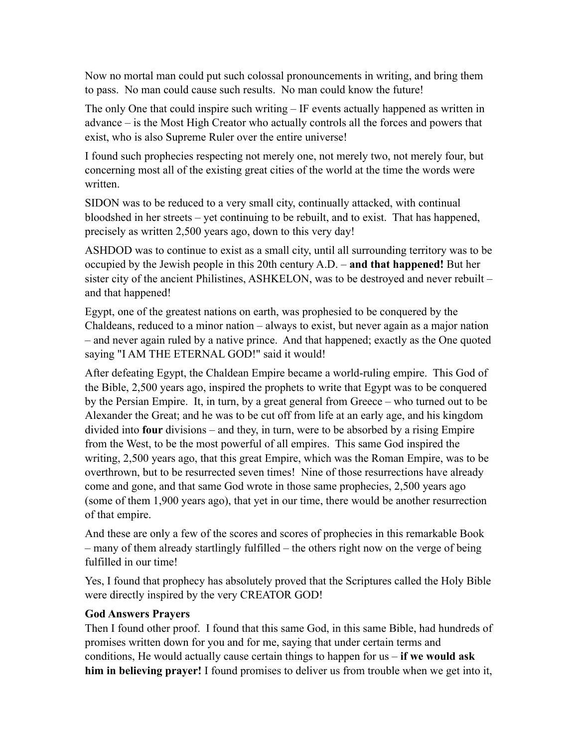Now no mortal man could put such colossal pronouncements in writing, and bring them to pass. No man could cause such results. No man could know the future!

The only One that could inspire such writing – IF events actually happened as written in advance – is the Most High Creator who actually controls all the forces and powers that exist, who is also Supreme Ruler over the entire universe!

I found such prophecies respecting not merely one, not merely two, not merely four, but concerning most all of the existing great cities of the world at the time the words were written.

SIDON was to be reduced to a very small city, continually attacked, with continual bloodshed in her streets – yet continuing to be rebuilt, and to exist. That has happened, precisely as written 2,500 years ago, down to this very day!

ASHDOD was to continue to exist as a small city, until all surrounding territory was to be occupied by the Jewish people in this 20th century A.D. – **and that happened!** But her sister city of the ancient Philistines, ASHKELON, was to be destroyed and never rebuilt – and that happened!

Egypt, one of the greatest nations on earth, was prophesied to be conquered by the Chaldeans, reduced to a minor nation – always to exist, but never again as a major nation – and never again ruled by a native prince. And that happened; exactly as the One quoted saying "I AM THE ETERNAL GOD!" said it would!

After defeating Egypt, the Chaldean Empire became a world-ruling empire. This God of the Bible, 2,500 years ago, inspired the prophets to write that Egypt was to be conquered by the Persian Empire. It, in turn, by a great general from Greece – who turned out to be Alexander the Great; and he was to be cut off from life at an early age, and his kingdom divided into **four** divisions – and they, in turn, were to be absorbed by a rising Empire from the West, to be the most powerful of all empires. This same God inspired the writing, 2,500 years ago, that this great Empire, which was the Roman Empire, was to be overthrown, but to be resurrected seven times! Nine of those resurrections have already come and gone, and that same God wrote in those same prophecies, 2,500 years ago (some of them 1,900 years ago), that yet in our time, there would be another resurrection of that empire.

And these are only a few of the scores and scores of prophecies in this remarkable Book – many of them already startlingly fulfilled – the others right now on the verge of being fulfilled in our time!

Yes, I found that prophecy has absolutely proved that the Scriptures called the Holy Bible were directly inspired by the very CREATOR GOD!

#### **God Answers Prayers**

Then I found other proof. I found that this same God, in this same Bible, had hundreds of promises written down for you and for me, saying that under certain terms and conditions, He would actually cause certain things to happen for us – **if we would ask him in believing prayer!** I found promises to deliver us from trouble when we get into it,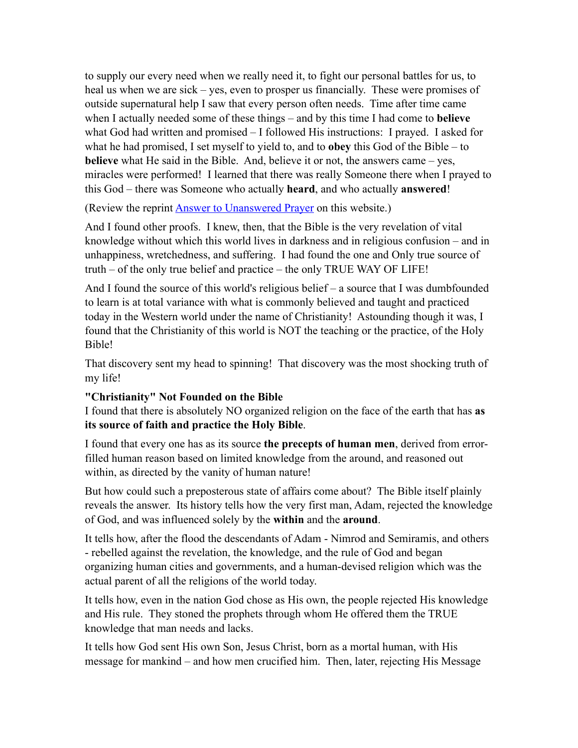to supply our every need when we really need it, to fight our personal battles for us, to heal us when we are sick – yes, even to prosper us financially. These were promises of outside supernatural help I saw that every person often needs. Time after time came when I actually needed some of these things – and by this time I had come to **believe** what God had written and promised – I followed His instructions: I prayed. I asked for what he had promised, I set myself to yield to, and to **obey** this God of the Bible – to **believe** what He said in the Bible. And, believe it or not, the answers came – yes, miracles were performed! I learned that there was really Someone there when I prayed to this God – there was Someone who actually **heard**, and who actually **answered**!

(Review the reprint [Answer to Unanswered Prayer](http://66.147.244.197/%257Ebiblefun/?page_id=141) on this website.)

And I found other proofs. I knew, then, that the Bible is the very revelation of vital knowledge without which this world lives in darkness and in religious confusion – and in unhappiness, wretchedness, and suffering. I had found the one and Only true source of truth – of the only true belief and practice – the only TRUE WAY OF LIFE!

And I found the source of this world's religious belief – a source that I was dumbfounded to learn is at total variance with what is commonly believed and taught and practiced today in the Western world under the name of Christianity! Astounding though it was, I found that the Christianity of this world is NOT the teaching or the practice, of the Holy Bible!

That discovery sent my head to spinning! That discovery was the most shocking truth of my life!

#### **"Christianity" Not Founded on the Bible**

I found that there is absolutely NO organized religion on the face of the earth that has **as its source of faith and practice the Holy Bible**.

I found that every one has as its source **the precepts of human men**, derived from errorfilled human reason based on limited knowledge from the around, and reasoned out within, as directed by the vanity of human nature!

But how could such a preposterous state of affairs come about? The Bible itself plainly reveals the answer. Its history tells how the very first man, Adam, rejected the knowledge of God, and was influenced solely by the **within** and the **around**.

It tells how, after the flood the descendants of Adam - Nimrod and Semiramis, and others - rebelled against the revelation, the knowledge, and the rule of God and began organizing human cities and governments, and a human-devised religion which was the actual parent of all the religions of the world today.

It tells how, even in the nation God chose as His own, the people rejected His knowledge and His rule. They stoned the prophets through whom He offered them the TRUE knowledge that man needs and lacks.

It tells how God sent His own Son, Jesus Christ, born as a mortal human, with His message for mankind – and how men crucified him. Then, later, rejecting His Message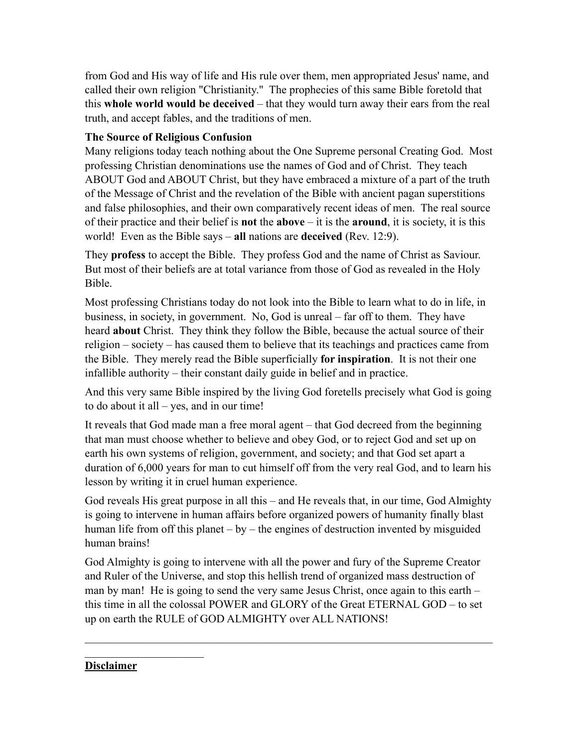from God and His way of life and His rule over them, men appropriated Jesus' name, and called their own religion "Christianity." The prophecies of this same Bible foretold that this **whole world would be deceived** – that they would turn away their ears from the real truth, and accept fables, and the traditions of men.

### **The Source of Religious Confusion**

Many religions today teach nothing about the One Supreme personal Creating God. Most professing Christian denominations use the names of God and of Christ. They teach ABOUT God and ABOUT Christ, but they have embraced a mixture of a part of the truth of the Message of Christ and the revelation of the Bible with ancient pagan superstitions and false philosophies, and their own comparatively recent ideas of men. The real source of their practice and their belief is **not** the **above** – it is the **around**, it is society, it is this world! Even as the Bible says – **all** nations are **deceived** (Rev. 12:9).

They **profess** to accept the Bible. They profess God and the name of Christ as Saviour. But most of their beliefs are at total variance from those of God as revealed in the Holy Bible.

Most professing Christians today do not look into the Bible to learn what to do in life, in business, in society, in government. No, God is unreal – far off to them. They have heard **about** Christ. They think they follow the Bible, because the actual source of their religion – society – has caused them to believe that its teachings and practices came from the Bible. They merely read the Bible superficially **for inspiration**. It is not their one infallible authority – their constant daily guide in belief and in practice.

And this very same Bible inspired by the living God foretells precisely what God is going to do about it all – yes, and in our time!

It reveals that God made man a free moral agent – that God decreed from the beginning that man must choose whether to believe and obey God, or to reject God and set up on earth his own systems of religion, government, and society; and that God set apart a duration of 6,000 years for man to cut himself off from the very real God, and to learn his lesson by writing it in cruel human experience.

God reveals His great purpose in all this – and He reveals that, in our time, God Almighty is going to intervene in human affairs before organized powers of humanity finally blast human life from off this planet – by – the engines of destruction invented by misguided human brains!

God Almighty is going to intervene with all the power and fury of the Supreme Creator and Ruler of the Universe, and stop this hellish trend of organized mass destruction of man by man! He is going to send the very same Jesus Christ, once again to this earth – this time in all the colossal POWER and GLORY of the Great ETERNAL GOD – to set up on earth the RULE of GOD ALMIGHTY over ALL NATIONS!

 $\mathcal{L}_\text{max} = \mathcal{L}_\text{max} = \mathcal{L}_\text{max} = \mathcal{L}_\text{max} = \mathcal{L}_\text{max} = \mathcal{L}_\text{max} = \mathcal{L}_\text{max} = \mathcal{L}_\text{max} = \mathcal{L}_\text{max} = \mathcal{L}_\text{max} = \mathcal{L}_\text{max} = \mathcal{L}_\text{max} = \mathcal{L}_\text{max} = \mathcal{L}_\text{max} = \mathcal{L}_\text{max} = \mathcal{L}_\text{max} = \mathcal{L}_\text{max} = \mathcal{L}_\text{max} = \mathcal{$ 

**Disclaimer**

 $\mathcal{L}_\text{max}$